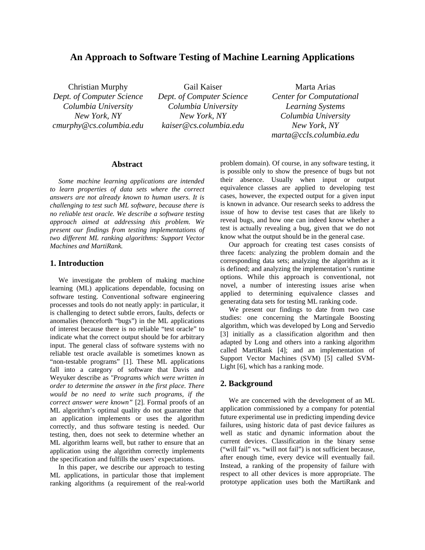# **An Approach to Software Testing of Machine Learning Applications**

*Dept. of Computer Science Columbia University New York, NY cmurphy@cs.columbia.edu* 

Christian Murphy Gail Kaiser Marta Arias *Dept. of Computer Science Columbia University New York, NY kaiser@cs.columbia.edu* 

*Center for Computational Learning Systems Columbia University New York, NY marta@ccls.columbia.edu* 

# **Abstract**

*Some machine learning applications are intended to learn properties of data sets where the correct answers are not already known to human users. It is challenging to test such ML software, because there is no reliable test oracle. We describe a software testing approach aimed at addressing this problem. We present our findings from testing implementations of two different ML ranking algorithms: Support Vector Machines and MartiRank.* 

# **1. Introduction**

We investigate the problem of making machine learning (ML) applications dependable, focusing on software testing. Conventional software engineering processes and tools do not neatly apply: in particular, it is challenging to detect subtle errors, faults, defects or anomalies (henceforth "bugs") in the ML applications of interest because there is no reliable "test oracle" to indicate what the correct output should be for arbitrary input. The general class of software systems with no reliable test oracle available is sometimes known as "non-testable programs" [1]. These ML applications fall into a category of software that Davis and Weyuker describe as *"Programs which were written in order to determine the answer in the first place. There would be no need to write such programs, if the correct answer were known"* [2]. Formal proofs of an ML algorithm's optimal quality do not guarantee that an application implements or uses the algorithm correctly, and thus software testing is needed. Our testing, then, does not seek to determine whether an ML algorithm learns well, but rather to ensure that an application using the algorithm correctly implements the specification and fulfills the users' expectations.

In this paper, we describe our approach to testing ML applications, in particular those that implement ranking algorithms (a requirement of the real-world

problem domain). Of course, in any software testing, it is possible only to show the presence of bugs but not their absence. Usually when input or output equivalence classes are applied to developing test cases, however, the expected output for a given input is known in advance. Our research seeks to address the issue of how to devise test cases that are likely to reveal bugs, and how one can indeed know whether a test is actually revealing a bug, given that we do not know what the output should be in the general case.

Our approach for creating test cases consists of three facets: analyzing the problem domain and the corresponding data sets; analyzing the algorithm as it is defined; and analyzing the implementation's runtime options. While this approach is conventional, not novel, a number of interesting issues arise when applied to determining equivalence classes and generating data sets for testing ML ranking code.

We present our findings to date from two case studies: one concerning the Martingale Boosting algorithm, which was developed by Long and Servedio [3] initially as a classification algorithm and then adapted by Long and others into a ranking algorithm called MartiRank [4]; and an implementation of Support Vector Machines (SVM) [5] called SVM-Light [6], which has a ranking mode.

# **2. Background**

We are concerned with the development of an ML application commissioned by a company for potential future experimental use in predicting impending device failures, using historic data of past device failures as well as static and dynamic information about the current devices. Classification in the binary sense ("will fail" vs. "will not fail") is not sufficient because, after enough time, every device will eventually fail. Instead, a ranking of the propensity of failure with respect to all other devices is more appropriate. The prototype application uses both the MartiRank and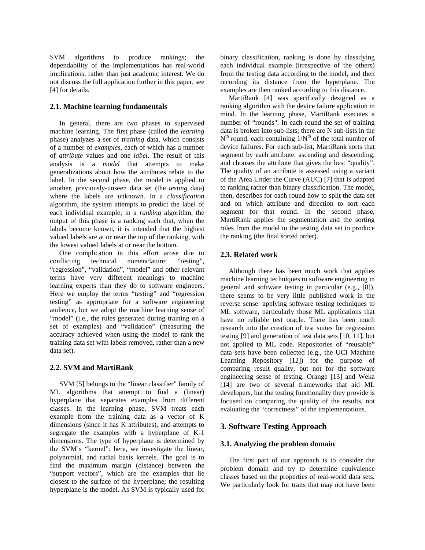SVM algorithms to produce rankings; the dependability of the implementations has real-world implications, rather than just academic interest. We do not discuss the full application further in this paper, see [4] for details.

# **2.1. Machine learning fundamentals**

In general, there are two phases to supervised machine learning. The first phase (called the *learning* phase) analyzes a set of *training* data, which consists of a number of *examples*, each of which has a number of *attribute* values and one *label*. The result of this analysis is a *model* that attempts to make generalizations about how the attributes relate to the label. In the second phase, the model is applied to another, previously-unseen data set (the *testing* data) where the labels are unknown. In a *classification* algorithm, the system attempts to predict the label of each individual example; in a *ranking* algorithm, the output of this phase is a ranking such that, when the labels become known, it is intended that the highest valued labels are at or near the top of the ranking, with the lowest valued labels at or near the bottom.

One complication in this effort arose due to conflicting technical nomenclature: "testing", "regression", "validation", "model" and other relevant terms have very different meanings to machine learning experts than they do to software engineers. Here we employ the terms "testing" and "regression testing" as appropriate for a software engineering audience, but we adopt the machine learning sense of "model" (i.e., the rules generated during training on a set of examples) and "validation" (measuring the accuracy achieved when using the model to rank the training data set with labels removed, rather than a new data set).

# **2.2. SVM and MartiRank**

SVM [5] belongs to the "linear classifier" family of ML algorithms that attempt to find a (linear) hyperplane that separates examples from different classes. In the learning phase, SVM treats each example from the training data as a vector of K dimensions (since it has K attributes), and attempts to segregate the examples with a hyperplane of K-1 dimensions. The type of hyperplane is determined by the SVM's "kernel": here, we investigate the linear, polynomial, and radial basis kernels. The goal is to find the maximum margin (distance) between the "support vectors", which are the examples that lie closest to the surface of the hyperplane; the resulting hyperplane is the model. As SVM is typically used for

binary classification, ranking is done by classifying each individual example (irrespective of the others) from the testing data according to the model, and then recording its distance from the hyperplane. The examples are then ranked according to this distance.

MartiRank [4] was specifically designed as a ranking algorithm with the device failure application in mind. In the learning phase, MartiRank executes a number of "rounds". In each round the set of training data is broken into sub-lists; there are N sub-lists in the  $N<sup>th</sup>$  round, each containing  $1/N<sup>th</sup>$  of the total number of device failures. For each sub-list, MartiRank sorts that segment by each attribute, ascending and descending, and chooses the attribute that gives the best "quality". The quality of an attribute is assessed using a variant of the Area Under the Curve (AUC) [7] that is adapted to ranking rather than binary classification. The model, then, describes for each round how to split the data set and on which attribute and direction to sort each segment for that round. In the second phase, MartiRank applies the segmentation and the sorting rules from the model to the testing data set to produce the ranking (the final sorted order).

### **2.3. Related work**

Although there has been much work that applies machine learning techniques to software engineering in general and software testing in particular (e.g., [8]), there seems to be very little published work in the reverse sense: applying software testing techniques to ML software, particularly those ML applications that have no reliable test oracle. There has been much research into the creation of test suites for regression testing [9] and generation of test data sets [10, 11], but not applied to ML code. Repositories of "reusable" data sets have been collected (e.g., the UCI Machine Learning Repository [12]) for the purpose of comparing result quality, but not for the software engineering sense of testing. Orange [13] and Weka [14] are two of several frameworks that aid ML developers, but the testing functionality they provide is focused on comparing the quality of the results, not evaluating the "correctness" of the implementations.

# **3. Software Testing Approach**

### **3.1. Analyzing the problem domain**

The first part of our approach is to consider the problem domain and try to determine equivalence classes based on the properties of real-world data sets. We particularly look for traits that may not have been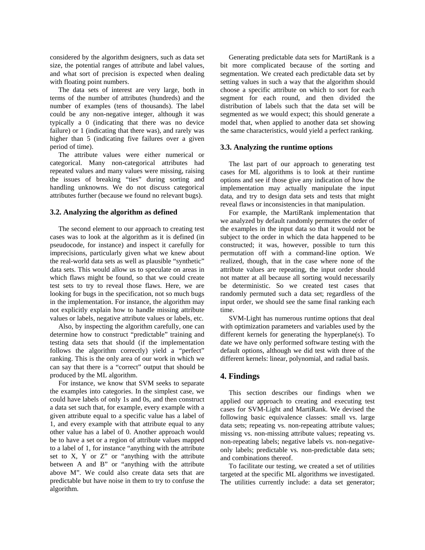considered by the algorithm designers, such as data set size, the potential ranges of attribute and label values, and what sort of precision is expected when dealing with floating point numbers.

The data sets of interest are very large, both in terms of the number of attributes (hundreds) and the number of examples (tens of thousands). The label could be any non-negative integer, although it was typically a 0 (indicating that there was no device failure) or 1 (indicating that there was), and rarely was higher than 5 (indicating five failures over a given period of time).

The attribute values were either numerical or categorical. Many non-categorical attributes had repeated values and many values were missing, raising the issues of breaking "ties" during sorting and handling unknowns. We do not discuss categorical attributes further (because we found no relevant bugs).

#### **3.2. Analyzing the algorithm as defined**

The second element to our approach to creating test cases was to look at the algorithm as it is defined (in pseudocode, for instance) and inspect it carefully for imprecisions, particularly given what we knew about the real-world data sets as well as plausible "synthetic" data sets. This would allow us to speculate on areas in which flaws might be found, so that we could create test sets to try to reveal those flaws. Here, we are looking for bugs in the specification, not so much bugs in the implementation. For instance, the algorithm may not explicitly explain how to handle missing attribute values or labels, negative attribute values or labels, etc.

Also, by inspecting the algorithm carefully, one can determine how to construct "predictable" training and testing data sets that should (if the implementation follows the algorithm correctly) yield a "perfect" ranking. This is the only area of our work in which we can say that there is a "correct" output that should be produced by the ML algorithm.

For instance, we know that SVM seeks to separate the examples into categories. In the simplest case, we could have labels of only 1s and 0s, and then construct a data set such that, for example, every example with a given attribute equal to a specific value has a label of 1, and every example with that attribute equal to any other value has a label of 0. Another approach would be to have a set or a region of attribute values mapped to a label of 1, for instance "anything with the attribute set to  $X$ ,  $Y$  or  $Z$ " or "anything with the attribute between A and B" or "anything with the attribute above M". We could also create data sets that are predictable but have noise in them to try to confuse the algorithm.

Generating predictable data sets for MartiRank is a bit more complicated because of the sorting and segmentation. We created each predictable data set by setting values in such a way that the algorithm should choose a specific attribute on which to sort for each segment for each round, and then divided the distribution of labels such that the data set will be segmented as we would expect; this should generate a model that, when applied to another data set showing the same characteristics, would yield a perfect ranking.

#### **3.3. Analyzing the runtime options**

The last part of our approach to generating test cases for ML algorithms is to look at their runtime options and see if those give any indication of how the implementation may actually manipulate the input data, and try to design data sets and tests that might reveal flaws or inconsistencies in that manipulation.

For example, the MartiRank implementation that we analyzed by default randomly permutes the order of the examples in the input data so that it would not be subject to the order in which the data happened to be constructed; it was, however, possible to turn this permutation off with a command-line option. We realized, though, that in the case where none of the attribute values are repeating, the input order should not matter at all because all sorting would necessarily be deterministic. So we created test cases that randomly permuted such a data set; regardless of the input order, we should see the same final ranking each time.

SVM-Light has numerous runtime options that deal with optimization parameters and variables used by the different kernels for generating the hyperplane(s). To date we have only performed software testing with the default options, although we did test with three of the different kernels: linear, polynomial, and radial basis.

### **4. Findings**

This section describes our findings when we applied our approach to creating and executing test cases for SVM-Light and MartiRank. We devised the following basic equivalence classes: small vs. large data sets; repeating vs. non-repeating attribute values; missing vs. non-missing attribute values; repeating vs. non-repeating labels; negative labels vs. non-negativeonly labels; predictable vs. non-predictable data sets; and combinations thereof.

To facilitate our testing, we created a set of utilities targeted at the specific ML algorithms we investigated. The utilities currently include: a data set generator;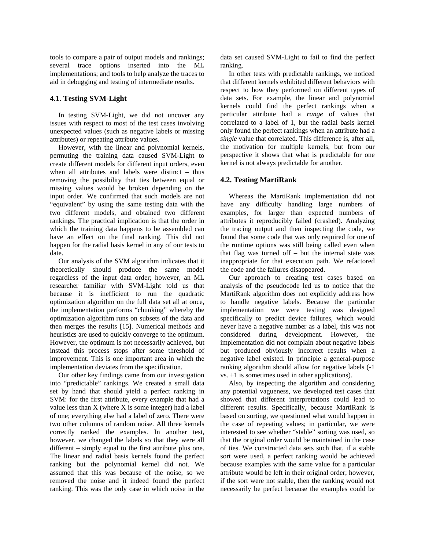tools to compare a pair of output models and rankings; several trace options inserted into the ML implementations; and tools to help analyze the traces to aid in debugging and testing of intermediate results.

# **4.1. Testing SVM-Light**

In testing SVM-Light, we did not uncover any issues with respect to most of the test cases involving unexpected values (such as negative labels or missing attributes) or repeating attribute values.

However, with the linear and polynomial kernels, permuting the training data caused SVM-Light to create different models for different input orders, even when all attributes and labels were distinct – thus removing the possibility that ties between equal or missing values would be broken depending on the input order. We confirmed that such models are not "equivalent" by using the same testing data with the two different models, and obtained two different rankings. The practical implication is that the order in which the training data happens to be assembled can have an effect on the final ranking. This did not happen for the radial basis kernel in any of our tests to date.

Our analysis of the SVM algorithm indicates that it theoretically should produce the same model regardless of the input data order; however, an ML researcher familiar with SVM-Light told us that because it is inefficient to run the quadratic optimization algorithm on the full data set all at once, the implementation performs "chunking" whereby the optimization algorithm runs on subsets of the data and then merges the results [15]. Numerical methods and heuristics are used to quickly converge to the optimum. However, the optimum is not necessarily achieved, but instead this process stops after some threshold of improvement. This is one important area in which the implementation deviates from the specification.

Our other key findings came from our investigation into "predictable" rankings. We created a small data set by hand that should yield a perfect ranking in SVM: for the first attribute, every example that had a value less than X (where X is some integer) had a label of one; everything else had a label of zero. There were two other columns of random noise. All three kernels correctly ranked the examples. In another test, however, we changed the labels so that they were all different – simply equal to the first attribute plus one. The linear and radial basis kernels found the perfect ranking but the polynomial kernel did not. We assumed that this was because of the noise, so we removed the noise and it indeed found the perfect ranking. This was the only case in which noise in the

data set caused SVM-Light to fail to find the perfect ranking.

In other tests with predictable rankings, we noticed that different kernels exhibited different behaviors with respect to how they performed on different types of data sets. For example, the linear and polynomial kernels could find the perfect rankings when a particular attribute had a *range* of values that correlated to a label of 1, but the radial basis kernel only found the perfect rankings when an attribute had a *single* value that correlated. This difference is, after all, the motivation for multiple kernels, but from our perspective it shows that what is predictable for one kernel is not always predictable for another.

# **4.2. Testing MartiRank**

Whereas the MartiRank implementation did not have any difficulty handling large numbers of examples, for larger than expected numbers of attributes it reproducibly failed (crashed). Analyzing the tracing output and then inspecting the code, we found that some code that was only required for one of the runtime options was still being called even when that flag was turned off – but the internal state was inappropriate for that execution path. We refactored the code and the failures disappeared.

Our approach to creating test cases based on analysis of the pseudocode led us to notice that the MartiRank algorithm does not explicitly address how to handle negative labels. Because the particular implementation we were testing was designed specifically to predict device failures, which would never have a negative number as a label, this was not considered during development. However, the implementation did not complain about negative labels but produced obviously incorrect results when a negative label existed. In principle a general-purpose ranking algorithm should allow for negative labels (-1 vs. +1 is sometimes used in other applications).

Also, by inspecting the algorithm and considering any potential vagueness, we developed test cases that showed that different interpretations could lead to different results. Specifically, because MartiRank is based on sorting, we questioned what would happen in the case of repeating values; in particular, we were interested to see whether "stable" sorting was used, so that the original order would be maintained in the case of ties. We constructed data sets such that, if a stable sort were used, a perfect ranking would be achieved because examples with the same value for a particular attribute would be left in their original order; however, if the sort were not stable, then the ranking would not necessarily be perfect because the examples could be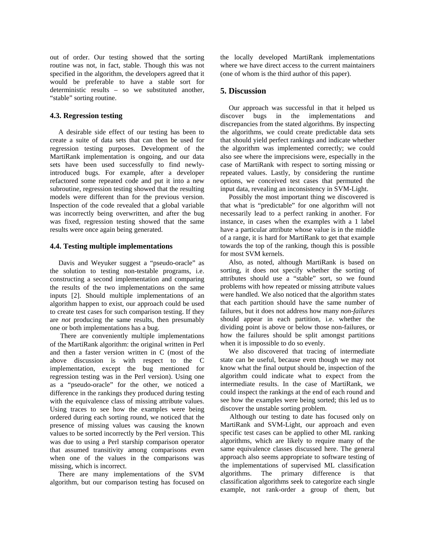out of order. Our testing showed that the sorting routine was not, in fact, stable. Though this was not specified in the algorithm, the developers agreed that it would be preferable to have a stable sort for deterministic results – so we substituted another, "stable" sorting routine.

### **4.3. Regression testing**

A desirable side effect of our testing has been to create a suite of data sets that can then be used for regression testing purposes. Development of the MartiRank implementation is ongoing, and our data sets have been used successfully to find newlyintroduced bugs. For example, after a developer refactored some repeated code and put it into a new subroutine, regression testing showed that the resulting models were different than for the previous version. Inspection of the code revealed that a global variable was incorrectly being overwritten, and after the bug was fixed, regression testing showed that the same results were once again being generated.

# **4.4. Testing multiple implementations**

Davis and Weyuker suggest a "pseudo-oracle" as the solution to testing non-testable programs, i.e. constructing a second implementation and comparing the results of the two implementations on the same inputs [2]. Should multiple implementations of an algorithm happen to exist, our approach could be used to create test cases for such comparison testing. If they are *not* producing the same results, then presumably one or both implementations has a bug.

 There are conveniently multiple implementations of the MartiRank algorithm: the original written in Perl and then a faster version written in C (most of the above discussion is with respect to the C implementation, except the bug mentioned for regression testing was in the Perl version). Using one as a "pseudo-oracle" for the other, we noticed a difference in the rankings they produced during testing with the equivalence class of missing attribute values. Using traces to see how the examples were being ordered during each sorting round, we noticed that the presence of missing values was causing the known values to be sorted incorrectly by the Perl version. This was due to using a Perl starship comparison operator that assumed transitivity among comparisons even when one of the values in the comparisons was missing, which is incorrect.

There are many implementations of the SVM algorithm, but our comparison testing has focused on the locally developed MartiRank implementations where we have direct access to the current maintainers (one of whom is the third author of this paper).

# **5. Discussion**

Our approach was successful in that it helped us discover bugs in the implementations and discrepancies from the stated algorithms. By inspecting the algorithms, we could create predictable data sets that should yield perfect rankings and indicate whether the algorithm was implemented correctly; we could also see where the imprecisions were, especially in the case of MartiRank with respect to sorting missing or repeated values. Lastly, by considering the runtime options, we conceived test cases that permuted the input data, revealing an inconsistency in SVM-Light.

Possibly the most important thing we discovered is that what is "predictable" for one algorithm will not necessarily lead to a perfect ranking in another. For instance, in cases when the examples with a 1 label have a particular attribute whose value is in the middle of a range, it is hard for MartiRank to get that example towards the top of the ranking, though this is possible for most SVM kernels.

Also, as noted, although MartiRank is based on sorting, it does not specify whether the sorting of attributes should use a "stable" sort, so we found problems with how repeated or missing attribute values were handled. We also noticed that the algorithm states that each partition should have the same number of failures, but it does not address how many *non-failures* should appear in each partition, i.e. whether the dividing point is above or below those non-failures, or how the failures should be split amongst partitions when it is impossible to do so evenly.

We also discovered that tracing of intermediate state can be useful, because even though we may not know what the final output should be, inspection of the algorithm could indicate what to expect from the intermediate results. In the case of MartiRank, we could inspect the rankings at the end of each round and see how the examples were being sorted; this led us to discover the unstable sorting problem.

Although our testing to date has focused only on MartiRank and SVM-Light, our approach and even specific test cases can be applied to other ML ranking algorithms, which are likely to require many of the same equivalence classes discussed here. The general approach also seems appropriate to software testing of the implementations of supervised ML classification algorithms. The primary difference is that classification algorithms seek to categorize each single example, not rank-order a group of them, but